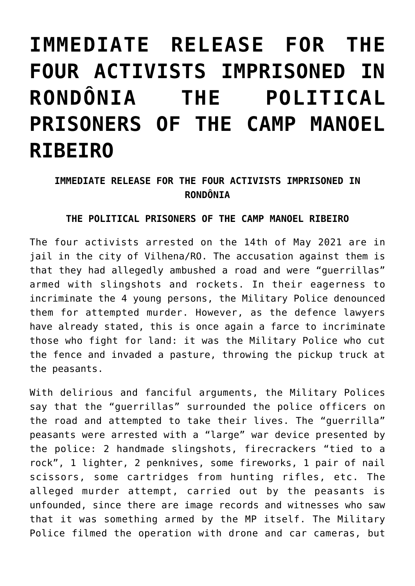## **[IMMEDIATE RELEASE FOR THE](https://ci-ic.org/blog/2021/07/13/immediate-release-for-the-four-activists-imprisoned-in-rondonia-the-political-prisoners-of-the-camp-manoel-ribeiro/) [FOUR ACTIVISTS IMPRISONED IN](https://ci-ic.org/blog/2021/07/13/immediate-release-for-the-four-activists-imprisoned-in-rondonia-the-political-prisoners-of-the-camp-manoel-ribeiro/) [RONDÔNIA THE POLITICAL](https://ci-ic.org/blog/2021/07/13/immediate-release-for-the-four-activists-imprisoned-in-rondonia-the-political-prisoners-of-the-camp-manoel-ribeiro/) [PRISONERS OF THE CAMP MANOEL](https://ci-ic.org/blog/2021/07/13/immediate-release-for-the-four-activists-imprisoned-in-rondonia-the-political-prisoners-of-the-camp-manoel-ribeiro/) [RIBEIRO](https://ci-ic.org/blog/2021/07/13/immediate-release-for-the-four-activists-imprisoned-in-rondonia-the-political-prisoners-of-the-camp-manoel-ribeiro/)**

## **IMMEDIATE RELEASE FOR THE FOUR ACTIVISTS IMPRISONED IN RONDÔNIA**

## **THE POLITICAL PRISONERS OF THE CAMP MANOEL RIBEIRO**

The four activists arrested on the 14th of May 2021 are in jail in the city of Vilhena/RO. The accusation against them is that they had allegedly ambushed a road and were "guerrillas" armed with slingshots and rockets. In their eagerness to incriminate the 4 young persons, the Military Police denounced them for attempted murder. However, as the defence lawyers have already stated, this is once again a farce to incriminate those who fight for land: it was the Military Police who cut the fence and invaded a pasture, throwing the pickup truck at the peasants.

With delirious and fanciful arguments, the Military Polices say that the "guerrillas" surrounded the police officers on the road and attempted to take their lives. The "guerrilla" peasants were arrested with a "large" war device presented by the police: 2 handmade slingshots, firecrackers "tied to a rock", 1 lighter, 2 penknives, some fireworks, 1 pair of nail scissors, some cartridges from hunting rifles, etc. The alleged murder attempt, carried out by the peasants is unfounded, since there are image records and witnesses who saw that it was something armed by the MP itself. The Military Police filmed the operation with drone and car cameras, but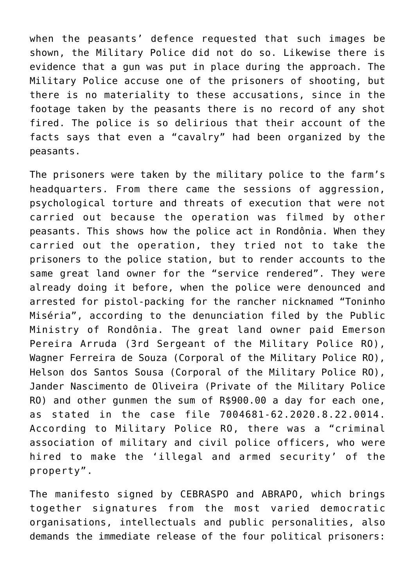when the peasants' defence requested that such images be shown, the Military Police did not do so. Likewise there is evidence that a gun was put in place during the approach. The Military Police accuse one of the prisoners of shooting, but there is no materiality to these accusations, since in the footage taken by the peasants there is no record of any shot fired. The police is so delirious that their account of the facts says that even a "cavalry" had been organized by the peasants.

The prisoners were taken by the military police to the farm's headquarters. From there came the sessions of aggression, psychological torture and threats of execution that were not carried out because the operation was filmed by other peasants. This shows how the police act in Rondônia. When they carried out the operation, they tried not to take the prisoners to the police station, but to render accounts to the same great land owner for the "service rendered". They were already doing it before, when the police were denounced and arrested for pistol-packing for the rancher nicknamed "Toninho Miséria", according to the denunciation filed by the Public Ministry of Rondônia. The great land owner paid Emerson Pereira Arruda (3rd Sergeant of the Military Police RO), Wagner Ferreira de Souza (Corporal of the Military Police RO), Helson dos Santos Sousa (Corporal of the Military Police RO), Jander Nascimento de Oliveira (Private of the Military Police RO) and other gunmen the sum of R\$900.00 a day for each one, as stated in the case file 7004681-62.2020.8.22.0014. According to Military Police RO, there was a "criminal association of military and civil police officers, who were hired to make the 'illegal and armed security' of the property".

The manifesto signed by CEBRASPO and ABRAPO, which brings together signatures from the most varied democratic organisations, intellectuals and public personalities, also demands the immediate release of the four political prisoners: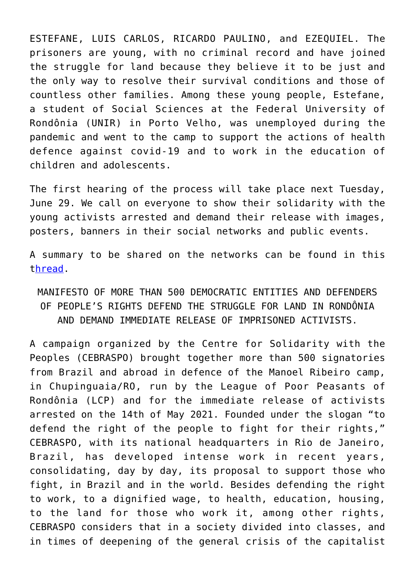ESTEFANE, LUIS CARLOS, RICARDO PAULINO, and EZEQUIEL. The prisoners are young, with no criminal record and have joined the struggle for land because they believe it to be just and the only way to resolve their survival conditions and those of countless other families. Among these young people, Estefane, a student of Social Sciences at the Federal University of Rondônia (UNIR) in Porto Velho, was unemployed during the pandemic and went to the camp to support the actions of health defence against covid-19 and to work in the education of children and adolescents.

The first hearing of the process will take place next Tuesday, June 29. We call on everyone to show their solidarity with the young activists arrested and demand their release with images, posters, banners in their social networks and public events.

A summary to be shared on the networks can be found in this t[hread](https://twitter.com/CEBRASPO1/status/1408497344367280128/photo/1?ref_src=twsrc%5Etfw%7Ctwcamp%5Etweetembed%7Ctwterm%5E1408497344367280128%7Ctwgr%5E%7Ctwcon%5Es1_&ref_url=https%3A%2F%2Fresistenciacamponesa.com%2Fluta-camponesa%2Fliberdade-imediata-para-4-ativistas-presos-em-rondonia%2F).

MANIFESTO OF MORE THAN 500 DEMOCRATIC ENTITIES AND DEFENDERS OF PEOPLE'S RIGHTS DEFEND THE STRUGGLE FOR LAND IN RONDÔNIA AND DEMAND IMMEDIATE RELEASE OF IMPRISONED ACTIVISTS.

A campaign organized by the Centre for Solidarity with the Peoples (CEBRASPO) brought together more than 500 signatories from Brazil and abroad in defence of the Manoel Ribeiro camp, in Chupinguaia/RO, run by the League of Poor Peasants of Rondônia (LCP) and for the immediate release of activists arrested on the 14th of May 2021. Founded under the slogan "to defend the right of the people to fight for their rights," CEBRASPO, with its national headquarters in Rio de Janeiro, Brazil, has developed intense work in recent years, consolidating, day by day, its proposal to support those who fight, in Brazil and in the world. Besides defending the right to work, to a dignified wage, to health, education, housing, to the land for those who work it, among other rights, CEBRASPO considers that in a society divided into classes, and in times of deepening of the general crisis of the capitalist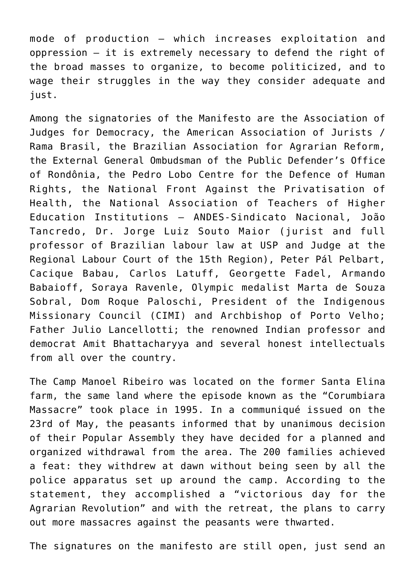mode of production – which increases exploitation and oppression – it is extremely necessary to defend the right of the broad masses to organize, to become politicized, and to wage their struggles in the way they consider adequate and just.

Among the signatories of the Manifesto are the Association of Judges for Democracy, the American Association of Jurists / Rama Brasil, the Brazilian Association for Agrarian Reform, the External General Ombudsman of the Public Defender's Office of Rondônia, the Pedro Lobo Centre for the Defence of Human Rights, the National Front Against the Privatisation of Health, the National Association of Teachers of Higher Education Institutions – ANDES-Sindicato Nacional, João Tancredo, Dr. Jorge Luiz Souto Maior (jurist and full professor of Brazilian labour law at USP and Judge at the Regional Labour Court of the 15th Region), Peter Pál Pelbart, Cacique Babau, Carlos Latuff, Georgette Fadel, Armando Babaioff, Soraya Ravenle, Olympic medalist Marta de Souza Sobral, Dom Roque Paloschi, President of the Indigenous Missionary Council (CIMI) and Archbishop of Porto Velho; Father Julio Lancellotti; the renowned Indian professor and democrat Amit Bhattacharyya and several honest intellectuals from all over the country.

The Camp Manoel Ribeiro was located on the former Santa Elina farm, the same land where the episode known as the "Corumbiara Massacre" took place in 1995. In a communiqué issued on the 23rd of May, the peasants informed that by unanimous decision of their Popular Assembly they have decided for a planned and organized withdrawal from the area. The 200 families achieved a feat: they withdrew at dawn without being seen by all the police apparatus set up around the camp. According to the statement, they accomplished a "victorious day for the Agrarian Revolution" and with the retreat, the plans to carry out more massacres against the peasants were thwarted.

The signatures on the manifesto are still open, just send an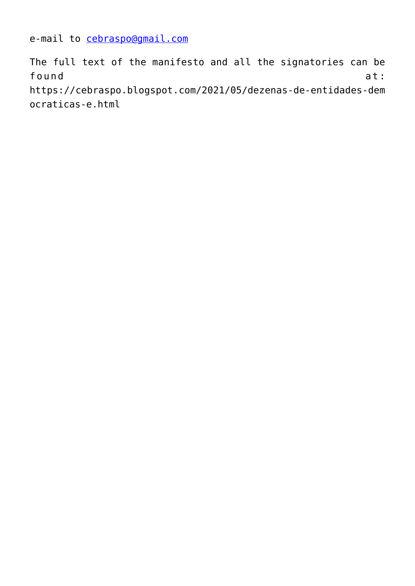e-mail to [cebraspo@gmail.com](mailto:cebraspo@gmail.com)

The full text of the manifesto and all the signatories can be found at: https://cebraspo.blogspot.com/2021/05/dezenas-de-entidades-dem ocraticas-e.html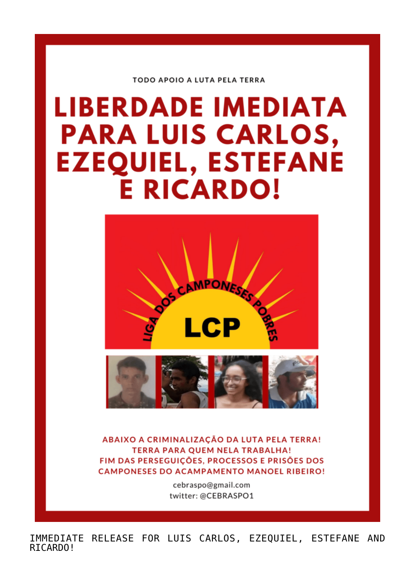**TODO APOIO A LUTA PELA TERRA** 

## **LIBERDADE IMEDIATA PARA LUIS CARLOS, EZEQUIEL, ESTEFANE E RICARDO!**





ABAIXO A CRIMINALIZAÇÃO DA LUTA PELA TERRA! **TERRA PARA QUEM NELA TRABALHA!** FIM DAS PERSEGUICÕES, PROCESSOS E PRISÕES DOS **CAMPONESES DO ACAMPAMENTO MANOEL RIBEIRO!** 

> cebraspo@gmail.com twitter: @CEBRASPO1

IMMEDIATE RELEASE FOR LUIS CARLOS, EZEQUIEL, ESTEFANE AND RICARDO!